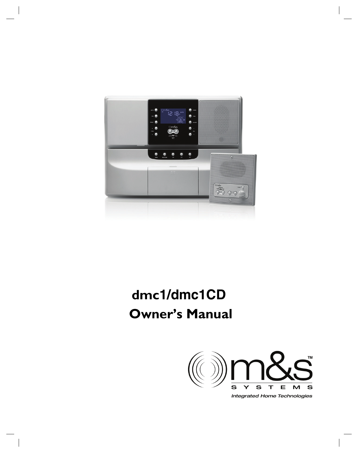

# **dmc1/dmc1CD Owner's Manual**



**Integrated Home Technologies**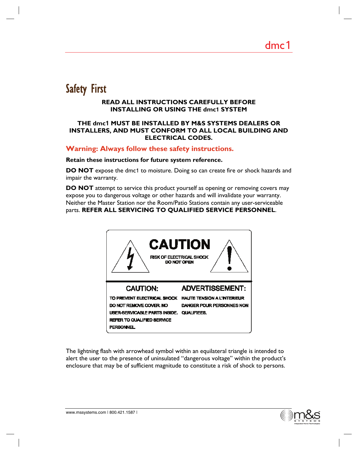## Safety First

#### **READ ALL INSTRUCTIONS CAREFULLY BEFORE INSTALLING OR USING THE dmc1 SYSTEM**

#### **THE dmc1 MUST BE INSTALLED BY M&S SYSTEMS DEALERS OR INSTALLERS, AND MUST CONFORM TO ALL LOCAL BUILDING AND ELECTRICAL CODES.**

#### **Warning: Always follow these safety instructions.**

#### **Retain these instructions for future system reference.**

**DO NOT** expose the dmc1 to moisture. Doing so can create fire or shock hazards and impair the warranty.

**DO NOT** attempt to service this product yourself as opening or removing covers may expose you to dangerous voltage or other hazards and will invalidate your warranty. Neither the Master Station nor the Room/Patio Stations contain any user-serviceable parts. **REFER ALL SERVICING TO QUALIFIED SERVICE PERSONNEL**.



The lightning flash with arrowhead symbol within an equilateral triangle is intended to alert the user to the presence of uninsulated "dangerous voltage" within the product's enclosure that may be of sufficient magnitude to constitute a risk of shock to persons.

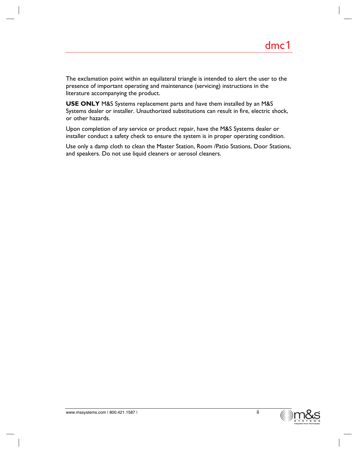The exclamation point within an equilateral triangle is intended to alert the user to the presence of important operating and maintenance (servicing) instructions in the literature accompanying the product.

**USE ONLY** M&S Systems replacement parts and have them installed by an M&S Systems dealer or installer. Unauthorized substitutions can result in fire, electric shock, or other hazards.

Upon completion of any service or product repair, have the M&S Systems dealer or installer conduct a safety check to ensure the system is in proper operating condition.

Use only a damp cloth to clean the Master Station, Room /Patio Stations, Door Stations, and speakers. Do not use liquid cleaners or aerosol cleaners.

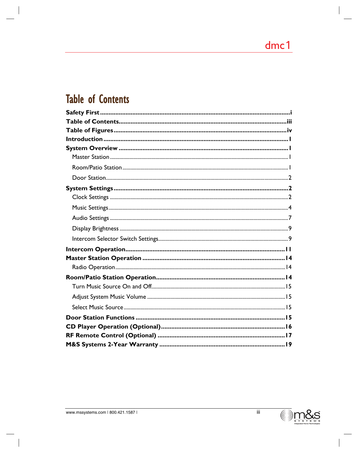## **Table of Contents**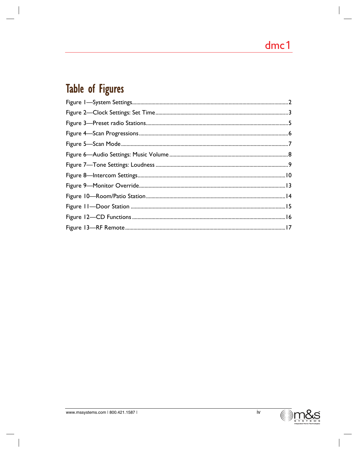# Table of Figures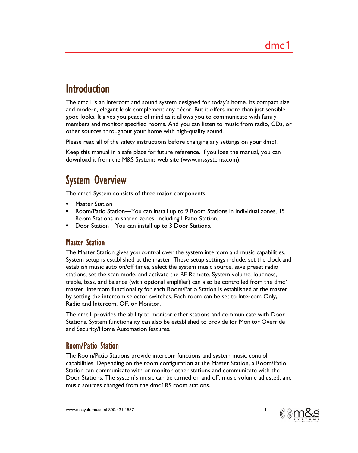## **Introduction**

The dmc1 is an intercom and sound system designed for today's home. Its compact size and modern, elegant look complement any décor. But it offers more than just sensible good looks. It gives you peace of mind as it allows you to communicate with family members and monitor specified rooms. And you can listen to music from radio, CDs, or other sources throughout your home with high-quality sound.

Please read all of the safety instructions before changing any settings on your dmc1.

Keep this manual in a safe place for future reference. If you lose the manual, you can download it from the M&S Systems web site (www.mssystems.com).

## System Overview

The dmc1 System consists of three major components:

- **Master Station**
- Room/Patio Station—You can install up to 9 Room Stations in individual zones, 15 Room Stations in shared zones, including1 Patio Station.
- Door Station—You can install up to 3 Door Stations.

## Master Station

The Master Station gives you control over the system intercom and music capabilities. System setup is established at the master. These setup settings include: set the clock and establish music auto on/off times, select the system music source, save preset radio stations, set the scan mode, and activate the RF Remote. System volume, loudness, treble, bass, and balance (with optional amplifier) can also be controlled from the dmc1 master. Intercom functionality for each Room/Patio Station is established at the master by setting the intercom selector switches. Each room can be set to Intercom Only, Radio and Intercom, Off, or Monitor.

The dmc1 provides the ability to monitor other stations and communicate with Door Stations. System functionality can also be established to provide for Monitor Override and Security/Home Automation features.

### Room/Patio Station

The Room/Patio Stations provide intercom functions and system music control capabilities. Depending on the room configuration at the Master Station, a Room/Patio Station can communicate with or monitor other stations and communicate with the Door Stations. The system's music can be turned on and off, music volume adjusted, and music sources changed from the dmc1RS room stations.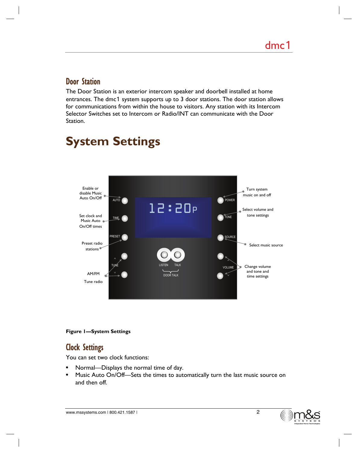### Door Station

The Door Station is an exterior intercom speaker and doorbell installed at home entrances. The dmc1 system supports up to 3 door stations. The door station allows for communications from within the house to visitors. Any station with its Intercom Selector Switches set to Intercom or Radio/INT can communicate with the Door Station.

#### ∧ l2:20P AUTO<sub>(</sub> TIME PRESET **CO** POWER TONE SOURCE ∧ VOLUME **ISTEN** DOOR TALK TUNE Enable or disable Music Auto On/Off Set clock and Music Auto . On/Off times Preset radio stations<sup>®</sup> AM/FM Tune radio Turn system music on and off Select volume and tone settings Select music source Change volume and tone and time settings

# **System Settings**

#### **Figure 1—System Settings**

## Clock Settings

You can set two clock functions:

- Normal—Displays the normal time of day.
- Music Auto On/Off-Sets the times to automatically turn the last music source on and then off.

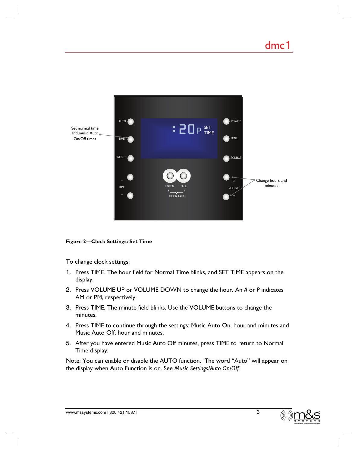

#### **Figure 2—Clock Settings: Set Time**

To change clock settings:

- 1. Press TIME. The hour field for Normal Time blinks, and SET TIME appears on the display.
- 2. Press VOLUME UP or VOLUME DOWN to change the hour. An *A* or *P* indicates AM or PM, respectively.
- 3. Press TIME. The minute field blinks. Use the VOLUME buttons to change the minutes.
- 4. Press TIME to continue through the settings: Music Auto On, hour and minutes and Music Auto Off, hour and minutes.
- 5. After you have entered Music Auto Off minutes, press TIME to return to Normal Time display.

Note: You can enable or disable the AUTO function. The word "Auto" will appear on the display when Auto Function is on. See *Music Settings/Auto On/Off.*

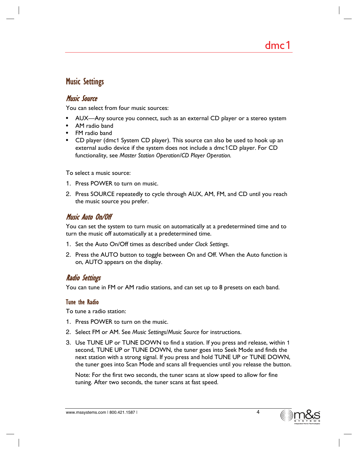### Music Settings

### Music Source

You can select from four music sources:

- AUX—Any source you connect, such as an external CD player or a stereo system
- AM radio band
- FM radio band
- CD player (dmc1 System CD player). This source can also be used to hook up an external audio device if the system does not include a dmc1CD player. For CD functionality, see *Master Station Operation/CD Player Operation.*

To select a music source:

- 1. Press POWER to turn on music.
- 2. Press SOURCE repeatedly to cycle through AUX, AM, FM, and CD until you reach the music source you prefer.

### Music Auto On/Off

You can set the system to turn music on automatically at a predetermined time and to turn the music off automatically at a predetermined time.

- 1. Set the Auto On/Off times as described under *Clock Settings*.
- 2. Press the AUTO button to toggle between On and Off. When the Auto function is on, AUTO appears on the display.

### Radio Settings

You can tune in FM or AM radio stations, and can set up to 8 presets on each band.

#### Tune the Radio

To tune a radio station:

- 1. Press POWER to turn on the music.
- 2. Select FM or AM. See *Music Settings/Music Source* for instructions.
- 3. Use TUNE UP or TUNE DOWN to find a station. If you press and release, within 1 second, TUNE UP or TUNE DOWN, the tuner goes into Seek Mode and finds the next station with a strong signal. If you press and hold TUNE UP or TUNE DOWN, the tuner goes into Scan Mode and scans all frequencies until you release the button.

Note: For the first two seconds, the tuner scans at slow speed to allow for fine tuning. After two seconds, the tuner scans at fast speed.



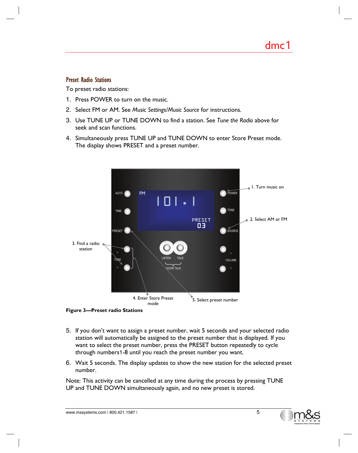#### Preset Radio Stations

To preset radio stations:

- 1. Press POWER to turn on the music.
- 2. Select FM or AM. See *Music Settings/Music Source* for instructions*.*
- 3. Use TUNE UP or TUNE DOWN to find a station. See *Tune the Radio* above for seek and scan functions.
- 4. Simultaneously press TUNE UP and TUNE DOWN to enter Store Preset mode. The display shows PRESET and a preset number.



**Figure 3—Preset radio Stations** 

- 5. If you don't want to assign a preset number, wait 5 seconds and your selected radio station will automatically be assigned to the preset number that is displayed. If you want to select the preset number, press the PRESET button repeatedly to cycle through numbers1-8 until you reach the preset number you want.
- 6. Wait 5 seconds. The display updates to show the new station for the selected preset number.

Note: This activity can be cancelled at any time during the process by pressing TUNE UP and TUNE DOWN simultaneously again, and no new preset is stored.

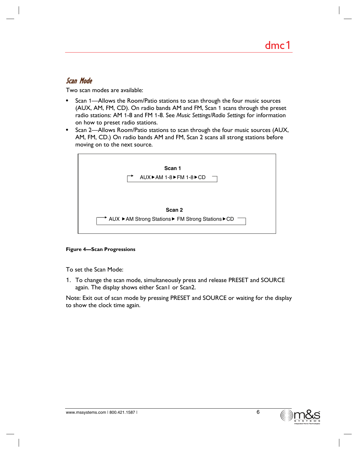### Scan Mode

Two scan modes are available:

- Scan 1—Allows the Room/Patio stations to scan through the four music sources (AUX, AM, FM, CD). On radio bands AM and FM, Scan 1 scans through the preset radio stations: AM 1-8 and FM 1-8. See *Music Settings/Radio Settings* for information on how to preset radio stations.
- Scan 2—Allows Room/Patio stations to scan through the four music sources (AUX, AM, FM, CD.) On radio bands AM and FM, Scan 2 scans all strong stations before moving on to the next source.



#### **Figure 4—Scan Progressions**

To set the Scan Mode:

1. To change the scan mode, simultaneously press and release PRESET and SOURCE again. The display shows either Scan1 or Scan2.

Note: Exit out of scan mode by pressing PRESET and SOURCE or waiting for the display to show the clock time again.

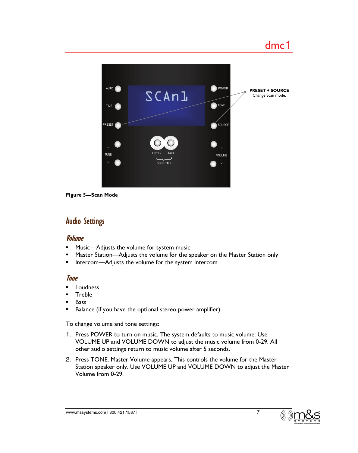

**Figure 5—Scan Mode** 

## Audio Settings

#### Volume

- Music—Adjusts the volume for system music
- Master Station—Adjusts the volume for the speaker on the Master Station only
- Intercom—Adjusts the volume for the system intercom

#### Tone

- **Loudness**
- Treble
- **Bass**
- Balance (if you have the optional stereo power amplifier)

To change volume and tone settings:

- 1. Press POWER to turn on music. The system defaults to music volume. Use VOLUME UP and VOLUME DOWN to adjust the music volume from 0-29. All other audio settings return to music volume after 5 seconds.
- 2. Press TONE. Master Volume appears. This controls the volume for the Master Station speaker only. Use VOLUME UP and VOLUME DOWN to adjust the Master Volume from 0-29.

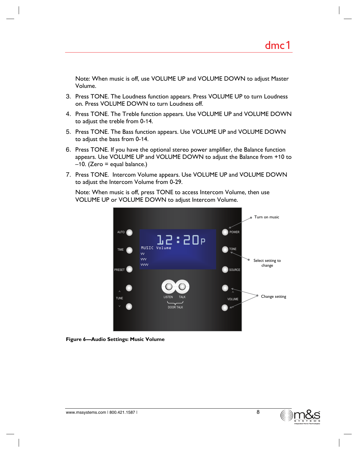Note: When music is off, use VOLUME UP and VOLUME DOWN to adjust Master Volume.

- 3. Press TONE. The Loudness function appears. Press VOLUME UP to turn Loudness on. Press VOLUME DOWN to turn Loudness off.
- 4. Press TONE. The Treble function appears. Use VOLUME UP and VOLUME DOWN to adjust the treble from 0-14.
- 5. Press TONE. The Bass function appears. Use VOLUME UP and VOLUME DOWN to adjust the bass from 0-14.
- 6. Press TONE. If you have the optional stereo power amplifier, the Balance function appears. Use VOLUME UP and VOLUME DOWN to adjust the Balance from +10 to  $-10.$  (Zero = equal balance.)
- 7. Press TONE. Intercom Volume appears. Use VOLUME UP and VOLUME DOWN to adjust the Intercom Volume from 0-29.

Note: When music is off, press TONE to access Intercom Volume, then use VOLUME UP or VOLUME DOWN to adjust Intercom Volume.



**Figure 6—Audio Settings: Music Volume** 

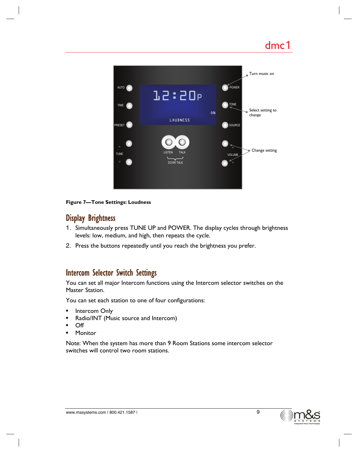

#### **Figure 7—Tone Settings: Loudness**

## Display Brightness

- 1. Simultaneously press TUNE UP and POWER. The display cycles through brightness levels: low, medium, and high, then repeats the cycle.
- 2. Press the buttons repeatedly until you reach the brightness you prefer.

### Intercom Selector Switch Settings

You can set all major Intercom functions using the Intercom selector switches on the Master Station.

You can set each station to one of four configurations:

- Intercom Only
- Radio/INT (Music source and Intercom)
- Off
- Monitor

Note: When the system has more than 9 Room Stations some intercom selector switches will control two room stations.

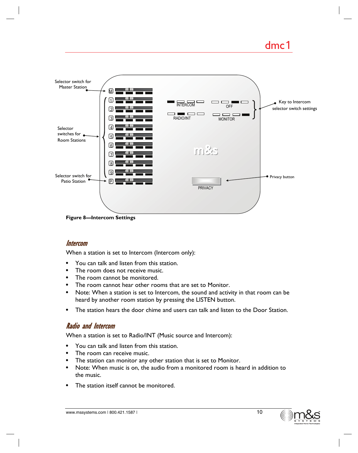## dmc1



**Figure 8—Intercom Settings** 

#### Intercom

When a station is set to Intercom (Intercom only):

- You can talk and listen from this station.
- The room does not receive music.
- The room cannot be monitored.
- The room cannot hear other rooms that are set to Monitor.
- Note: When a station is set to Intercom, the sound and activity in that room can be heard by another room station by pressing the LISTEN button.
- The station hears the door chime and users can talk and listen to the Door Station.

### Radio and Intercom

When a station is set to Radio/INT (Music source and Intercom):

- You can talk and listen from this station.
- The room can receive music.
- The station can monitor any other station that is set to Monitor.
- Note: When music is on, the audio from a monitored room is heard in addition to the music.
- The station itself cannot be monitored.

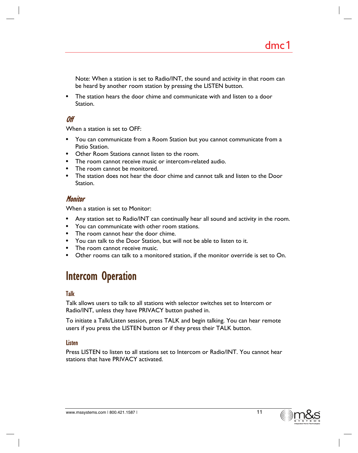Note: When a station is set to Radio/INT, the sound and activity in that room can be heard by another room station by pressing the LISTEN button.

• The station hears the door chime and communicate with and listen to a door Station.

### Off

When a station is set to OFF:

- You can communicate from a Room Station but you cannot communicate from a Patio Station.
- Other Room Stations cannot listen to the room.
- The room cannot receive music or intercom-related audio.
- The room cannot be monitored.
- The station does not hear the door chime and cannot talk and listen to the Door Station.

#### **Monitor**

When a station is set to Monitor:

- Any station set to Radio/INT can continually hear all sound and activity in the room.
- You can communicate with other room stations.
- The room cannot hear the door chime.
- You can talk to the Door Station, but will not be able to listen to it.
- The room cannot receive music.
- Other rooms can talk to a monitored station, if the monitor override is set to On.

## Intercom Operation

#### Talk

Talk allows users to talk to all stations with selector switches set to Intercom or Radio/INT, unless they have PRIVACY button pushed in.

To initiate a Talk/Listen session, press TALK and begin talking. You can hear remote users if you press the LISTEN button or if they press their TALK button.

#### **Listen**

Press LISTEN to listen to all stations set to Intercom or Radio/INT. You cannot hear stations that have PRIVACY activated.

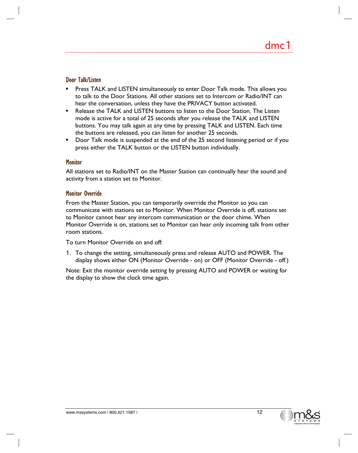#### Door Talk/Listen

- Press TALK and LISTEN simultaneously to enter Door Talk mode. This allows you to talk to the Door Stations. All other stations set to Intercom or Radio/INT can hear the conversation, unless they have the PRIVACY button activated.
- Release the TALK and LISTEN buttons to listen to the Door Station. The Listen mode is active for a total of 25 seconds after you release the TALK and LISTEN buttons. You may talk again at any time by pressing TALK and LISTEN. Each time the buttons are released, you can listen for another 25 seconds.
- Door Talk mode is suspended at the end of the 25 second listening period or if you press either the TALK button or the LISTEN button individually.

#### **Monitor**

All stations set to Radio/INT on the Master Station can continually hear the sound and activity from a station set to Monitor.

#### Monitor Override

From the Master Station, you can temporarily override the Monitor so you can communicate with stations set to Monitor. When Monitor Override is off, stations set to Monitor cannot hear any intercom communication or the door chime. When Monitor Override is on, stations set to Monitor can hear only incoming talk from other room stations.

To turn Monitor Override on and off:

1. To change the setting, simultaneously press and release AUTO and POWER. The display shows either ON (Monitor Override - on) or OFF (Monitor Override - off.)

Note: Exit the monitor override setting by pressing AUTO and POWER or waiting for the display to show the clock time again.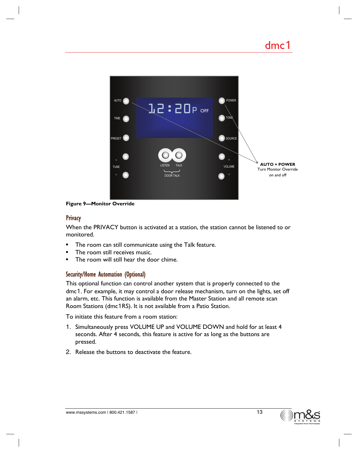

**Figure 9—Monitor Override** 

#### **Privacy**

When the PRIVACY button is activated at a station, the station cannot be listened to or monitored.

- The room can still communicate using the Talk feature.
- The room still receives music.
- The room will still hear the door chime.

#### Security/Home Automation (Optional)

This optional function can control another system that is properly connected to the dmc1. For example, it may control a door release mechanism, turn on the lights, set off an alarm, etc. This function is available from the Master Station and all remote scan Room Stations (dmc1RS). It is not available from a Patio Station.

To initiate this feature from a room station:

- 1. Simultaneously press VOLUME UP and VOLUME DOWN and hold for at least 4 seconds. After 4 seconds, this feature is active for as long as the buttons are pressed.
- 2. Release the buttons to deactivate the feature.

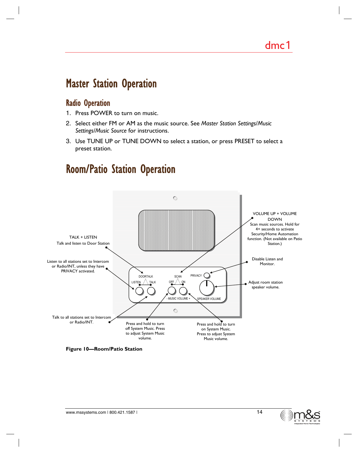## Master Station Operation

### Radio Operation

- 1. Press POWER to turn on music.
- 2. Select either FM or AM as the music source. See *Master Station Settings*/*Music Settings/Music Source* for instructions.
- 3. Use TUNE UP or TUNE DOWN to select a station, or press PRESET to select a preset station.

## Room/Patio Station Operation



**Figure 10—Room/Patio Station** 

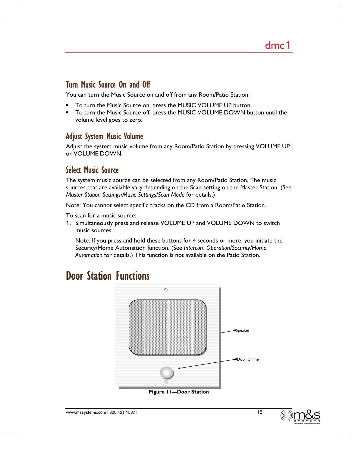### Turn Music Source On and Off

You can turn the Music Source on and off from any Room/Patio Station.

- To turn the Music Source on, press the MUSIC VOLUME UP button.
- To turn the Music Source off, press the MUSIC VOLUME DOWN button until the volume level goes to zero.

### Adjust System Music Volume

Adjust the system music volume from any Room/Patio Station by pressing VOLUME UP or VOLUME DOWN.

### Select Music Source

The system music source can be selected from any Room/Patio Station. The music sources that are available vary depending on the Scan setting on the Master Station. (See *Master Station Settings/Music Settings/Scan Mode* for details.)

Note: You cannot select specific tracks on the CD from a Room/Patio Station.

To scan for a music source:

1. Simultaneously press and release VOLUME UP and VOLUME DOWN to switch music sources.

Note: If you press and hold these buttons for 4 seconds or more, you initiate the Security/Home Automation function. (See *Intercom Operation/Security/Home Automation* for details.) This function is not available on the Patio Station.

## Door Station Functions



**Figure 11—Door Station** 

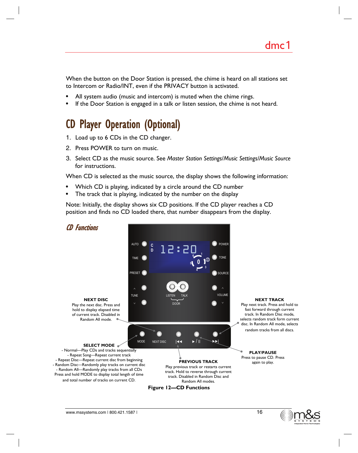When the button on the Door Station is pressed, the chime is heard on all stations set to Intercom or Radio/INT, even if the PRIVACY button is activated.

- All system audio (music and intercom) is muted when the chime rings.
- If the Door Station is engaged in a talk or listen session, the chime is not heard.

## CD Player Operation (Optional)

- 1. Load up to 6 CDs in the CD changer.
- 2. Press POWER to turn on music.
- 3. Select CD as the music source. See *Master Station Settings*/*Music Settings/Music Source* for instructions.

When CD is selected as the music source, the display shows the following information:

- Which CD is playing, indicated by a circle around the CD number
- The track that is playing, indicated by the number on the display

Note: Initially, the display shows six CD positions. If the CD player reaches a CD position and finds no CD loaded there, that number disappears from the display.



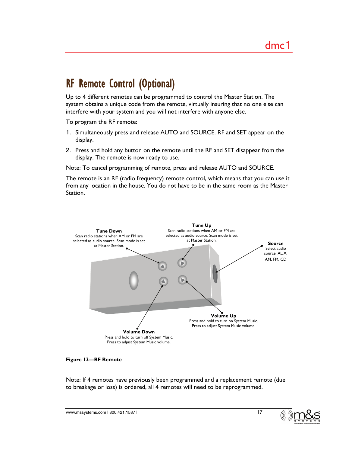## RF Remote Control (Optional)

Up to 4 different remotes can be programmed to control the Master Station. The system obtains a unique code from the remote, virtually insuring that no one else can interfere with your system and you will not interfere with anyone else.

To program the RF remote:

- 1. Simultaneously press and release AUTO and SOURCE. RF and SET appear on the display.
- 2. Press and hold any button on the remote until the RF and SET disappear from the display. The remote is now ready to use.

Note: To cancel programming of remote, press and release AUTO and SOURCE.

The remote is an RF (radio frequency) remote control, which means that you can use it from any location in the house. You do not have to be in the same room as the Master Station.



#### **Figure 13—RF Remote**

Note: If 4 remotes have previously been programmed and a replacement remote (due to breakage or loss) is ordered, all 4 remotes will need to be reprogrammed.

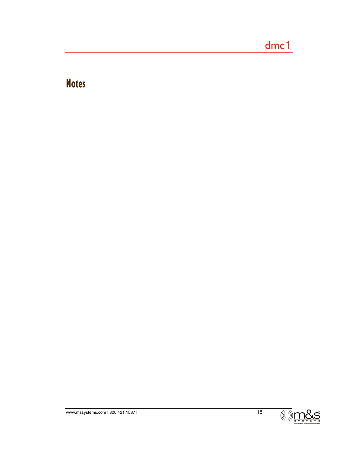## **Notes**